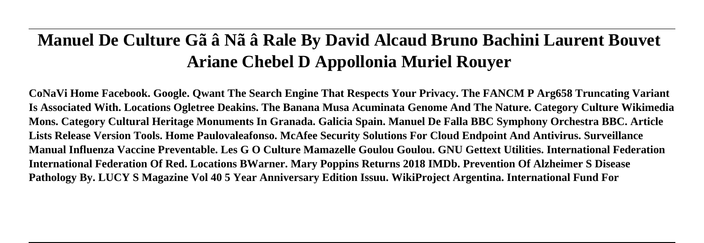# **Manuel De Culture Gã â Nã â Rale By David Alcaud Bruno Bachini Laurent Bouvet Ariane Chebel D Appollonia Muriel Rouyer**

**CoNaVi Home Facebook. Google. Qwant The Search Engine That Respects Your Privacy. The FANCM P Arg658 Truncating Variant Is Associated With. Locations Ogletree Deakins. The Banana Musa Acuminata Genome And The Nature. Category Culture Wikimedia Mons. Category Cultural Heritage Monuments In Granada. Galicia Spain. Manuel De Falla BBC Symphony Orchestra BBC. Article Lists Release Version Tools. Home Paulovaleafonso. McAfee Security Solutions For Cloud Endpoint And Antivirus. Surveillance Manual Influenza Vaccine Preventable. Les G O Culture Mamazelle Goulou Goulou. GNU Gettext Utilities. International Federation International Federation Of Red. Locations BWarner. Mary Poppins Returns 2018 IMDb. Prevention Of Alzheimer S Disease Pathology By. LUCY S Magazine Vol 40 5 Year Anniversary Edition Issuu. WikiProject Argentina. International Fund For**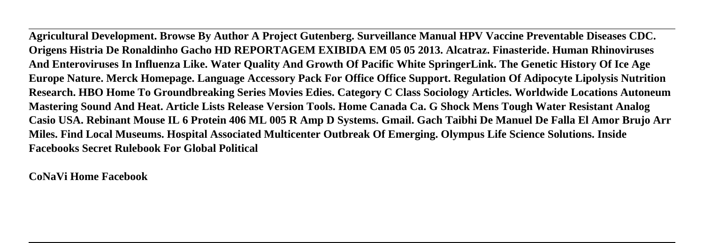**Agricultural Development. Browse By Author A Project Gutenberg. Surveillance Manual HPV Vaccine Preventable Diseases CDC. Origens Histria De Ronaldinho Gacho HD REPORTAGEM EXIBIDA EM 05 05 2013. Alcatraz. Finasteride. Human Rhinoviruses And Enteroviruses In Influenza Like. Water Quality And Growth Of Pacific White SpringerLink. The Genetic History Of Ice Age Europe Nature. Merck Homepage. Language Accessory Pack For Office Office Support. Regulation Of Adipocyte Lipolysis Nutrition Research. HBO Home To Groundbreaking Series Movies Edies. Category C Class Sociology Articles. Worldwide Locations Autoneum Mastering Sound And Heat. Article Lists Release Version Tools. Home Canada Ca. G Shock Mens Tough Water Resistant Analog Casio USA. Rebinant Mouse IL 6 Protein 406 ML 005 R Amp D Systems. Gmail. Gach Taibhi De Manuel De Falla El Amor Brujo Arr Miles. Find Local Museums. Hospital Associated Multicenter Outbreak Of Emerging. Olympus Life Science Solutions. Inside Facebooks Secret Rulebook For Global Political**

**CoNaVi Home Facebook**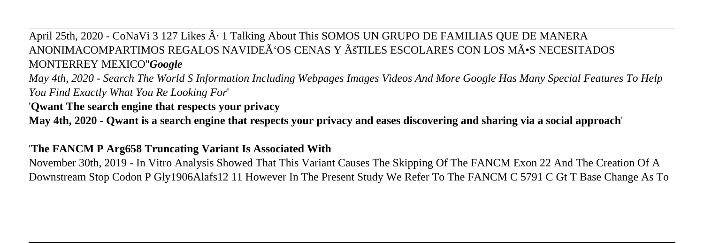April 25th, 2020 - CoNaVi 3 127 Likes  $\hat{A}$  · 1 Talking About This SOMOS UN GRUPO DE FAMILIAS QUE DE MANERA ANONIMACOMPARTIMOS REGALOS NAVIDEÃ'OS CENAS Y Ã TILES ESCOLARES CON LOS MÃ. S. NECESITADOS MONTERREY MEXICO''*Google*

*May 4th, 2020 - Search The World S Information Including Webpages Images Videos And More Google Has Many Special Features To Help You Find Exactly What You Re Looking For*'

# '**Qwant The search engine that respects your privacy**

**May 4th, 2020 - Qwant is a search engine that respects your privacy and eases discovering and sharing via a social approach**'

# '**The FANCM P Arg658 Truncating Variant Is Associated With**

November 30th, 2019 - In Vitro Analysis Showed That This Variant Causes The Skipping Of The FANCM Exon 22 And The Creation Of A Downstream Stop Codon P Gly1906Alafs12 11 However In The Present Study We Refer To The FANCM C 5791 C Gt T Base Change As To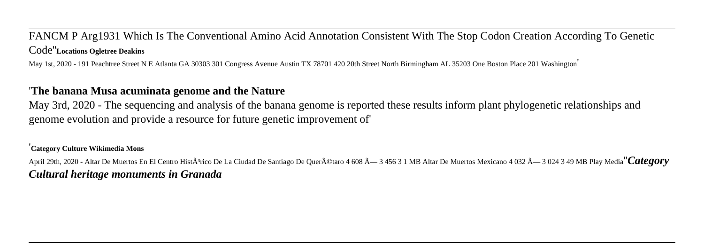FANCM P Arg1931 Which Is The Conventional Amino Acid Annotation Consistent With The Stop Codon Creation According To Genetic Code''**Locations Ogletree Deakins**

May 1st, 2020 - 191 Peachtree Street N E Atlanta GA 30303 301 Congress Avenue Austin TX 78701 420 20th Street North Birmingham AL 35203 One Boston Place 201 Washington'

#### '**The banana Musa acuminata genome and the Nature**

May 3rd, 2020 - The sequencing and analysis of the banana genome is reported these results inform plant phylogenetic relationships and genome evolution and provide a resource for future genetic improvement of'

#### '**Category Culture Wikimedia Mons**

April 29th, 2020 - Altar De Muertos En El Centro Histá<sup>3</sup>rico De La Ciudad De Santiago De Querá©taro 4 608 —3 456 3 1 MB Altar De Muertos Mexicano 4 032 —3 024 3 49 MB Play Media<sup>''</sup>*Category Cultural heritage monuments in Granada*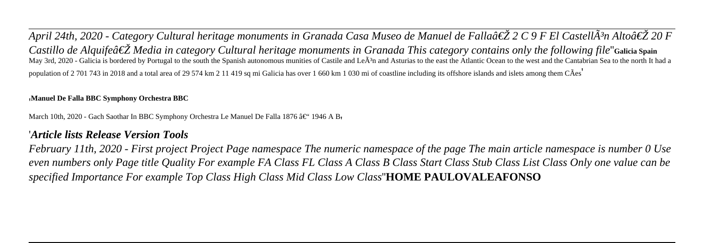*April 24th, 2020 - Category Cultural heritage monuments in Granada Casa Museo de Manuel de Fallaâ€* Z C 9 F El CastellÃ<sup>3</sup>n Alto†Z 20 F *Castillo de Alauifeâ€ Z* Media in category Cultural heritage monuments in Granada This category contains only the following file <sup>"</sup>Galicia Spain May 3rd, 2020 - Galicia is bordered by Portugal to the south the Spanish autonomous munities of Castile and LeÂ<sup>3</sup>n and Asturias to the east the Atlantic Ocean to the west and the Cantabrian Sea to the north It had a population of 2 701 743 in 2018 and a total area of 29 574 km 2 11 419 sq mi Galicia has over 1 660 km 1 030 mi of coastline including its offshore islands and islets among them CÃes'

#### '**Manuel De Falla BBC Symphony Orchestra BBC**

March 10th, 2020 - Gach Saothar In BBC Symphony Orchestra Le Manuel De Falla 1876 â $\epsilon$ " 1946 A B

#### '*Article lists Release Version Tools*

*February 11th, 2020 - First project Project Page namespace The numeric namespace of the page The main article namespace is number 0 Use even numbers only Page title Quality For example FA Class FL Class A Class B Class Start Class Stub Class List Class Only one value can be specified Importance For example Top Class High Class Mid Class Low Class*''**HOME PAULOVALEAFONSO**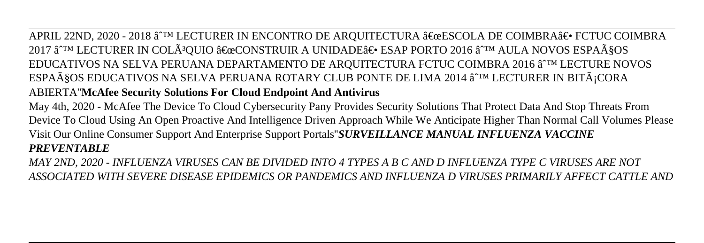APRIL 22ND, 2020 - 2018 â^™ LECTURER IN ENCONTRO DE AROUITECTURA "ESCOLA DE COIMBRA― FCTUC COIMBRA 2017 â^™ LECTURER IN COLÃ<sup>3</sup>QUIO "CONSTRUIR A UNIDADE― ESAP PORTO 2016 â^™ AULA NOVOS ESPAçOS EDUCATIVOS NA SELVA PERUANA DEPARTAMENTO DE ARQUITECTURA FCTUC COIMBRA 2016 â^™ LECTURE NOVOS ESPAçOS EDUCATIVOS NA SELVA PERUANA ROTARY CLUB PONTE DE LIMA 2014 â<sup>∼tm</sup> LECTURER IN BITÃ∶CORA ABIERTA''**McAfee Security Solutions For Cloud Endpoint And Antivirus**

May 4th, 2020 - McAfee The Device To Cloud Cybersecurity Pany Provides Security Solutions That Protect Data And Stop Threats From Device To Cloud Using An Open Proactive And Intelligence Driven Approach While We Anticipate Higher Than Normal Call Volumes Please Visit Our Online Consumer Support And Enterprise Support Portals''*SURVEILLANCE MANUAL INFLUENZA VACCINE PREVENTABLE*

*MAY 2ND, 2020 - INFLUENZA VIRUSES CAN BE DIVIDED INTO 4 TYPES A B C AND D INFLUENZA TYPE C VIRUSES ARE NOT ASSOCIATED WITH SEVERE DISEASE EPIDEMICS OR PANDEMICS AND INFLUENZA D VIRUSES PRIMARILY AFFECT CATTLE AND*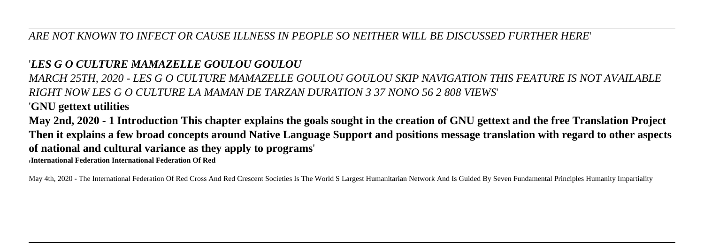#### *ARE NOT KNOWN TO INFECT OR CAUSE ILLNESS IN PEOPLE SO NEITHER WILL BE DISCUSSED FURTHER HERE*'

# '*LES G O CULTURE MAMAZELLE GOULOU GOULOU*

*MARCH 25TH, 2020 - LES G O CULTURE MAMAZELLE GOULOU GOULOU SKIP NAVIGATION THIS FEATURE IS NOT AVAILABLE RIGHT NOW LES G O CULTURE LA MAMAN DE TARZAN DURATION 3 37 NONO 56 2 808 VIEWS*' '**GNU gettext utilities**

**May 2nd, 2020 - 1 Introduction This chapter explains the goals sought in the creation of GNU gettext and the free Translation Project Then it explains a few broad concepts around Native Language Support and positions message translation with regard to other aspects of national and cultural variance as they apply to programs**'

'**International Federation International Federation Of Red**

May 4th, 2020 - The International Federation Of Red Cross And Red Crescent Societies Is The World S Largest Humanitarian Network And Is Guided By Seven Fundamental Principles Humanity Impartiality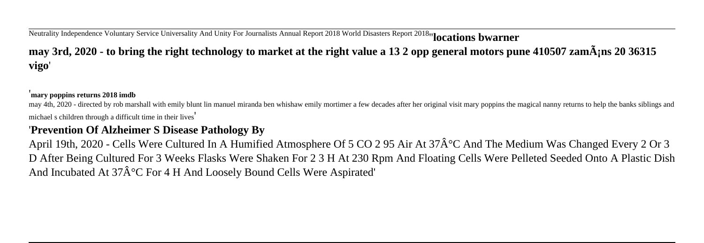# Neutrality Independence Voluntary Service Universality And Unity For Journalists Annual Report 2018 World Disasters Report 2018''**locations bwarner may 3rd, 2020 - to bring the right technology to market at the right value a 13 2 opp general motors pune 410507 zamáns 20 36315 vigo**'

#### '**mary poppins returns 2018 imdb**

may 4th, 2020 - directed by rob marshall with emily blunt lin manuel miranda ben whishaw emily mortimer a few decades after her original visit mary poppins the magical nanny returns to help the banks siblings and michael s children through a difficult time in their lives'

## '**Prevention Of Alzheimer S Disease Pathology By**

April 19th, 2020 - Cells Were Cultured In A Humified Atmosphere Of 5 CO 2 95 Air At 37 $\hat{A}^{\circ}C$  And The Medium Was Changed Every 2 Or 3 D After Being Cultured For 3 Weeks Flasks Were Shaken For 2 3 H At 230 Rpm And Floating Cells Were Pelleted Seeded Onto A Plastic Dish And Incubated At  $37\hat{A}^{\circ}C$  For 4 H And Loosely Bound Cells Were Aspirated'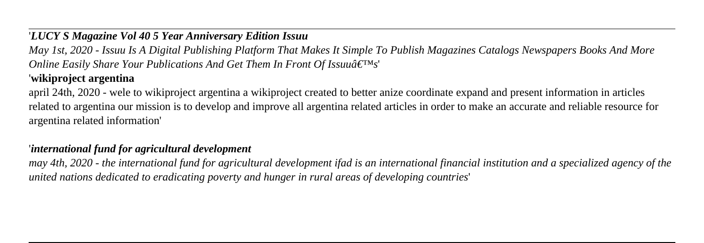## '*LUCY S Magazine Vol 40 5 Year Anniversary Edition Issuu*

*May 1st, 2020 - Issuu Is A Digital Publishing Platform That Makes It Simple To Publish Magazines Catalogs Newspapers Books And More Online Easily Share Your Publications And Get Them In Front Of Issuuâ€*<sup>™s'</sup>

# '**wikiproject argentina**

april 24th, 2020 - wele to wikiproject argentina a wikiproject created to better anize coordinate expand and present information in articles related to argentina our mission is to develop and improve all argentina related articles in order to make an accurate and reliable resource for argentina related information'

## '*international fund for agricultural development*

*may 4th, 2020 - the international fund for agricultural development ifad is an international financial institution and a specialized agency of the united nations dedicated to eradicating poverty and hunger in rural areas of developing countries*'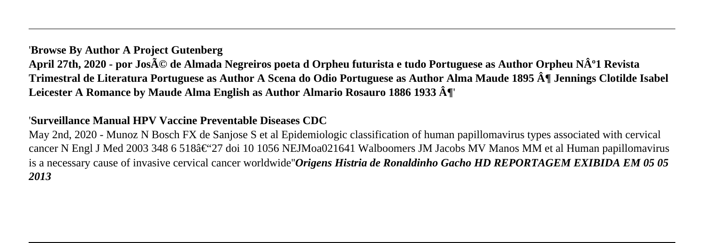#### '**Browse By Author A Project Gutenberg**

April 27th, 2020 - por Jos**é de Almada Negreiros poeta d Orpheu futu**rista e tudo Portuguese as Author Orpheu Nº1 Revista **Trimestral de Literatura Portuguese as Author A Scena do Odio Portuguese as Author Alma Maude 1895 ¶ Jennings Clotilde Isabel Leicester A Romance by Maude Alma English as Author Almario Rosauro 1886 1933 ¶**'

## '**Surveillance Manual HPV Vaccine Preventable Diseases CDC**

May 2nd, 2020 - Munoz N Bosch FX de Sanjose S et al Epidemiologic classification of human papillomavirus types associated with cervical cancer N Engl J Med 2003 348 6 518 $\hat{\epsilon}$  (27 doi 10 1056 NEJMoa021641 Walboomers JM Jacobs MV Manos MM et al Human papillomavirus is a necessary cause of invasive cervical cancer worldwide''*Origens Histria de Ronaldinho Gacho HD REPORTAGEM EXIBIDA EM 05 05 2013*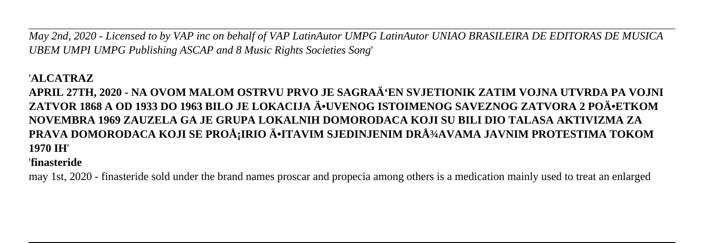*May 2nd, 2020 - Licensed to by VAP inc on behalf of VAP LatinAutor UMPG LatinAutor UNIAO BRASILEIRA DE EDITORAS DE MUSICA UBEM UMPI UMPG Publishing ASCAP and 8 Music Rights Societies Song*'

#### '**ALCATRAZ**

# **APRIL 27TH, 2020 - NA OVOM MALOM OSTRVU PRVO JE SAGRAđEN SVJETIONIK ZATIM VOJNA UTVRDA PA VOJNI** ZATVOR 1868 A OD 1933 DO 1963 BILO JE LOKACIJA ĕUVENOG ISTOIMENOG SAVEZNOG ZATVORA 2 POÄ•ETKOM **NOVEMBRA 1969 ZAUZELA GA JE GRUPA LOKALNIH DOMORODACA KOJI SU BILI DIO TALASA AKTIVIZMA ZA PRAVA DOMORODACA KOJI SE PROÅ;IRIO Ä•ITAVIM SJEDINJENIM DRžAVAMA JAVNIM PROTESTIMA TOKOM 1970 IH**'

## '**finasteride**

may 1st, 2020 - finasteride sold under the brand names proscar and propecia among others is a medication mainly used to treat an enlarged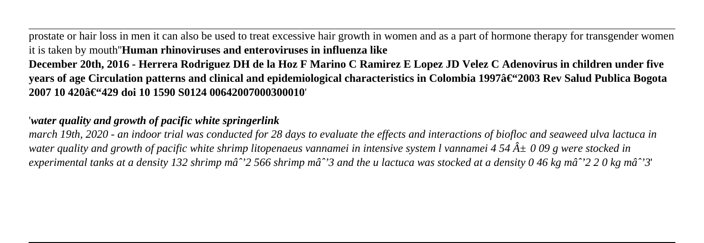prostate or hair loss in men it can also be used to treat excessive hair growth in women and as a part of hormone therapy for transgender women it is taken by mouth''**Human rhinoviruses and enteroviruses in influenza like December 20th, 2016 - Herrera Rodriguez DH de la Hoz F Marino C Ramirez E Lopez JD Velez C Adenovirus in children under five years of age Circulation patterns and clinical and epidemiological characteristics in Colombia 1997†
<sup>4</sup>2003 Rev Salud Publica Bogota** 

 $2007$  10 420â€<sup>64</sup>429 doi 10 1590 S0124 00642007000300010

'*water quality and growth of pacific white springerlink*

*march 19th, 2020 - an indoor trial was conducted for 28 days to evaluate the effects and interactions of biofloc and seaweed ulva lactuca in water quality and growth of pacific white shrimp litopenaeus vannamei in intensive system l vannamei 4 54*  $\hat{A} \pm 0.09$  *g were stocked in experimental tanks at a density 132 shrimp mâ*<sup>2</sup> 566 shrimp mâ<sup>2</sup> 3 and the u lactuca was stocked at a density 0 46 kg mâ<sup>2</sup> 2 0 kg mâ<sup>2</sup> 3'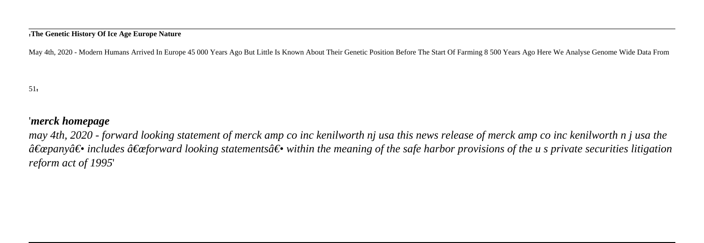#### '**The Genetic History Of Ice Age Europe Nature**

May 4th, 2020 - Modern Humans Arrived In Europe 45 000 Years Ago But Little Is Known About Their Genetic Position Before The Start Of Farming 8 500 Years Ago Here We Analyse Genome Wide Data From

 $51'$ 

#### '*merck homepage*

*may 4th, 2020 - forward looking statement of merck amp co inc kenilworth nj usa this news release of merck amp co inc kenilworth n j usa the*  $\hat{a} \in \hat{a}$  includes  $\hat{a} \in \hat{a}$  af are looking statements a set within the meaning of the safe harbor provisions of the u s private securities litigation *reform act of 1995*'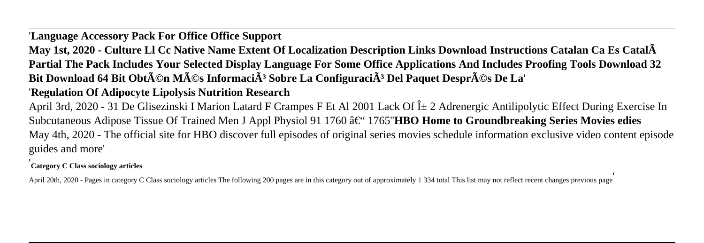# '**Language Accessory Pack For Office Office Support**

**May 1st, 2020 - Culture Ll Cc Native Name Extent Of Localization Description Links Download Instructions Catalan Ca Es Català Partial The Pack Includes Your Selected Display Language For Some Office Applications And Includes Proofing Tools Download 32** Bit Download 64 Bit Obt $\tilde{A}$ ©n M $\tilde{A}$ ©s Informaci $\tilde{A}$ <sup>3</sup> Sobre La Configuraci $\tilde{A}$ <sup>3</sup> Del Paquet Despr $\tilde{A}$ ©s De La'

# '**Regulation Of Adipocyte Lipolysis Nutrition Research**

April 3rd, 2020 - 31 De Glisezinski I Marion Latard F Crampes F Et Al 2001 Lack Of α 2 Adrenergic Antilipolytic Effect During Exercise In Subcutaneous Adipose Tissue Of Trained Men J Appl Physiol 91 1760 â€<sup>\*</sup> 1765'**HBO Home to Groundbreaking Series Movies edies** May 4th, 2020 - The official site for HBO discover full episodes of original series movies schedule information exclusive video content episode guides and more'

#### '**Category C Class sociology articles**

April 20th, 2020 - Pages in category C Class sociology articles The following 200 pages are in this category out of approximately 1 334 total This list may not reflect recent changes previous page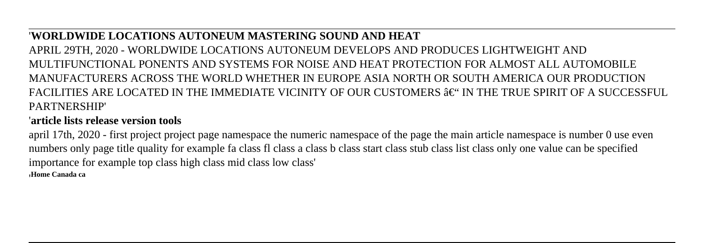#### '**WORLDWIDE LOCATIONS AUTONEUM MASTERING SOUND AND HEAT**

APRIL 29TH, 2020 - WORLDWIDE LOCATIONS AUTONEUM DEVELOPS AND PRODUCES LIGHTWEIGHT AND MULTIFUNCTIONAL PONENTS AND SYSTEMS FOR NOISE AND HEAT PROTECTION FOR ALMOST ALL AUTOMOBILE MANUFACTURERS ACROSS THE WORLD WHETHER IN EUROPE ASIA NORTH OR SOUTH AMERICA OUR PRODUCTION FACILITIES ARE LOCATED IN THE IMMEDIATE VICINITY OF OUR CUSTOMERS  $\hat{\mathbf{a}}\in$  " IN THE TRUE SPIRIT OF A SUCCESSFUL. PARTNERSHIP'

## '**article lists release version tools**

april 17th, 2020 - first project project page namespace the numeric namespace of the page the main article namespace is number 0 use even numbers only page title quality for example fa class fl class a class b class start class stub class list class only one value can be specified importance for example top class high class mid class low class' '**Home Canada ca**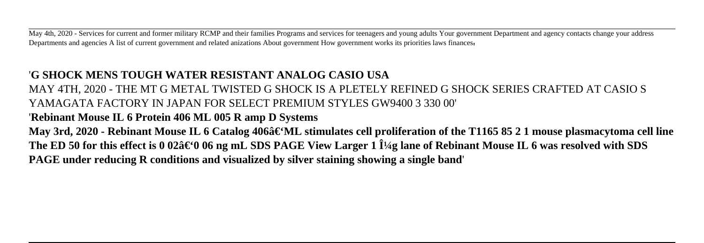May 4th, 2020 - Services for current and former military RCMP and their families Programs and services for teenagers and young adults Your government Department and agency contacts change your address Departments and agencies A list of current government and related anizations About government How government works its priorities laws finances'

# '**G SHOCK MENS TOUGH WATER RESISTANT ANALOG CASIO USA**

MAY 4TH, 2020 - THE MT G METAL TWISTED G SHOCK IS A PLETELY REFINED G SHOCK SERIES CRAFTED AT CASIO S YAMAGATA FACTORY IN JAPAN FOR SELECT PREMIUM STYLES GW9400 3 330 00'

# '**Rebinant Mouse IL 6 Protein 406 ML 005 R amp D Systems**

May 3rd, 2020 - Rebinant Mouse IL 6 Catalog 406â€'ML stimulates cell proliferation of the T1165 85 2 1 mouse plasmacytoma cell line The ED 50 for this effect is 0 02â€'0 06 ng mL SDS PAGE View Larger 1 1<sup>1</sup>/4g lane of Rebinant Mouse IL 6 was resolved with SDS **PAGE under reducing R conditions and visualized by silver staining showing a single band**'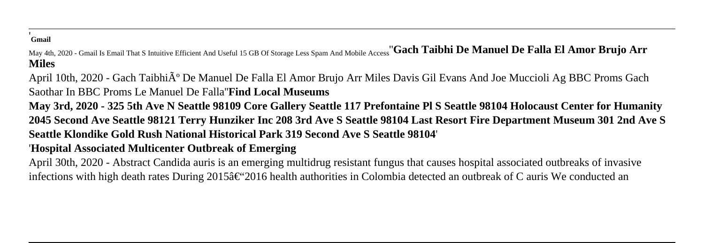#### '**Gmail**

May 4th, 2020 - Gmail Is Email That S Intuitive Efficient And Useful 15 GB Of Storage Less Spam And Mobile Access''**Gach Taibhi De Manuel De Falla El Amor Brujo Arr Miles**

April 10th, 2020 - Gach Taibhi $\tilde{A}^{\circ}$  De Manuel De Falla El Amor Brujo Arr Miles Davis Gil Evans And Joe Muccioli Ag BBC Proms Gach Saothar In BBC Proms Le Manuel De Falla''**Find Local Museums**

**May 3rd, 2020 - 325 5th Ave N Seattle 98109 Core Gallery Seattle 117 Prefontaine Pl S Seattle 98104 Holocaust Center for Humanity 2045 Second Ave Seattle 98121 Terry Hunziker Inc 208 3rd Ave S Seattle 98104 Last Resort Fire Department Museum 301 2nd Ave S Seattle Klondike Gold Rush National Historical Park 319 Second Ave S Seattle 98104**'

#### '**Hospital Associated Multicenter Outbreak of Emerging**

April 30th, 2020 - Abstract Candida auris is an emerging multidrug resistant fungus that causes hospital associated outbreaks of invasive infections with high death rates During  $2015\hat{\sigma} \in \mathcal{L}^2 2016$  health authorities in Colombia detected an outbreak of C auris We conducted an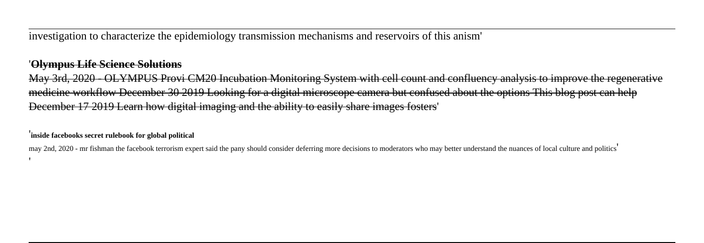investigation to characterize the epidemiology transmission mechanisms and reservoirs of this anism'

#### '**Olympus Life Science Solutions**

May 3rd, 2020 - OLYMPUS Provi CM20 Incubation Monitoring System with cell count and confluency analysis to improve the regenerative medicine workflow December 30 2019 Looking for a digital microscope camera but confused about the options This blog post can help December 17 2019 Learn how digital imaging and the ability to easily share images fosters'

'**inside facebooks secret rulebook for global political**

may 2nd, 2020 - mr fishman the facebook terrorism expert said the pany should consider deferring more decisions to moderators who may better understand the nuances of local culture and politics' '